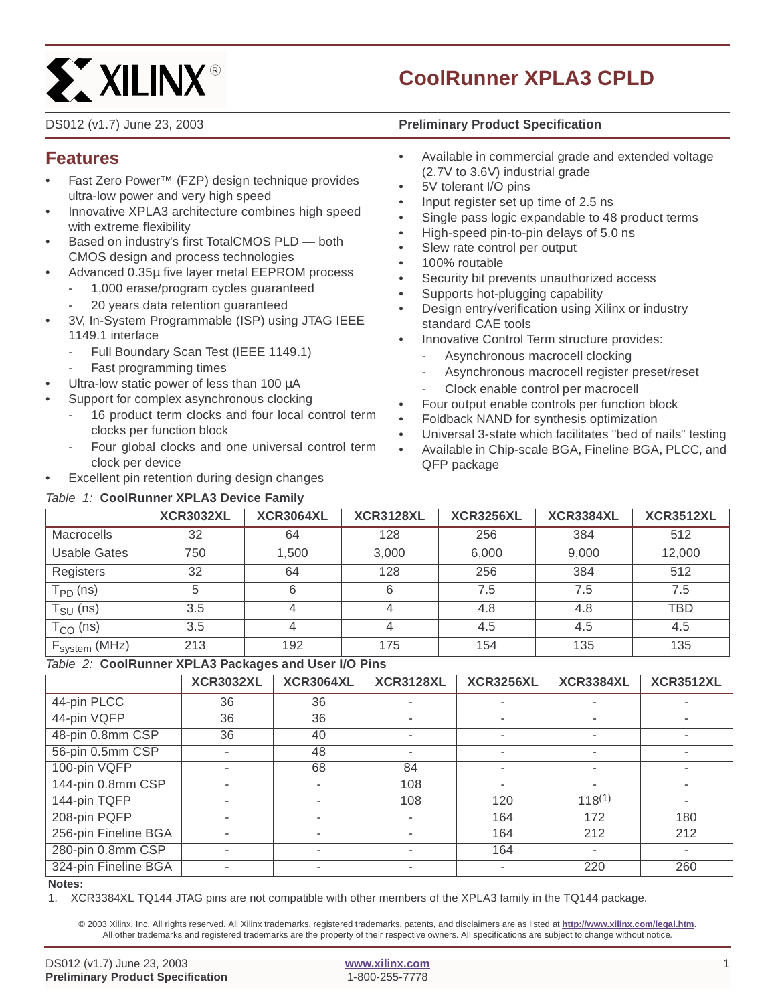# **ST XILINX®**

# **CoolRunner XPLA3 CPLD**

#### DS012 (v1.7) June 23, 2003 **0 14 Preliminary Product Specification**

## **Features**

- Fast Zero Power™ (FZP) design technique provides ultra-low power and very high speed
- Innovative XPLA3 architecture combines high speed with extreme flexibility
- Based on industry's first TotalCMOS PLD both CMOS design and process technologies
- Advanced 0.35µ five layer metal EEPROM process
	- 1,000 erase/program cycles guaranteed
	- 20 years data retention quaranteed
- 3V, In-System Programmable (ISP) using JTAG IEEE 1149.1 interface
	- Full Boundary Scan Test (IEEE 1149.1)
	- Fast programming times
- Ultra-low static power of less than 100  $\mu$ A
- Support for complex asynchronous clocking
	- 16 product term clocks and four local control term clocks per function block
	- Four global clocks and one universal control term clock per device
- Excellent pin retention during design changes

## Table 1: **CoolRunner XPLA3 Device Family**

- Available in commercial grade and extended voltage (2.7V to 3.6V) industrial grade
- 5V tolerant I/O pins
- Input register set up time of 2.5 ns
- Single pass logic expandable to 48 product terms
- High-speed pin-to-pin delays of 5.0 ns
- Slew rate control per output
- 100% routable
- Security bit prevents unauthorized access
- Supports hot-plugging capability
- Design entry/verification using Xilinx or industry standard CAE tools
- Innovative Control Term structure provides:
	- Asynchronous macrocell clocking
	- Asynchronous macrocell register preset/reset
	- Clock enable control per macrocell
- Four output enable controls per function block
- Foldback NAND for synthesis optimization
- Universal 3-state which facilitates "bed of nails" testing
- Available in Chip-scale BGA, Fineline BGA, PLCC, and QFP package

|                                      | <b>XCR3032XL</b> | <b>XCR3064XL</b> | <b>XCR3128XL</b> | <b>XCR3256XL</b> | <b>XCR3384XL</b> | <b>XCR3512XL</b> |
|--------------------------------------|------------------|------------------|------------------|------------------|------------------|------------------|
| <b>Macrocells</b>                    | 32               | 64               | 128              | 256              | 384              | 512              |
| <b>Usable Gates</b>                  | 750              | 1,500            | 3,000            | 6,000            | 9.000            | 12,000           |
| Registers                            | 32               | 64               | 128              | 256              | 384              | 512              |
| $T_{PD}$ (ns)                        | 5                | 6                | 6                | 7.5              | 7.5              | 7.5              |
| T <sub>SU</sub> (ns)                 | 3.5              | 4                |                  | 4.8              | 4.8              | TBD              |
| $T_{CO}$ (ns)                        | 3.5              | 4                | 4                | 4.5              | 4.5              | 4.5              |
| $\mathsf{F}_{\mathsf{system}}$ (MHz) | 213              | 192              | 175              | 154              | 135              | 135              |

## Table 2: **CoolRunner XPLA3 Packages and User I/O Pins**

|                                  | <b>XCR3032XL</b> | <b>XCR3064XL</b> | <b>XCR3128XL</b>         | <b>XCR3256XL</b>         | <b>XCR3384XL</b>         | <b>XCR3512XL</b> |
|----------------------------------|------------------|------------------|--------------------------|--------------------------|--------------------------|------------------|
| 44-pin PLCC                      | 36               | 36               |                          |                          |                          |                  |
| 44-pin VQFP                      | 36               | 36               |                          | ۰                        | $\overline{\phantom{a}}$ |                  |
| 48-pin 0.8mm CSP                 | 36               | 40               |                          |                          |                          |                  |
| 56-pin 0.5mm CSP                 |                  | 48               | $\overline{\phantom{a}}$ | $\overline{\phantom{a}}$ | $\blacksquare$           |                  |
| 100-pin VQFP                     |                  | 68               | 84                       |                          |                          |                  |
| 144-pin 0.8mm CSP                |                  |                  | 108                      |                          | $\overline{\phantom{a}}$ |                  |
| 144-pin TQFP                     |                  |                  | 108                      | 120                      | $118^{(1)}$              |                  |
| 208-pin PQFP                     |                  |                  |                          | 164                      | 172                      | 180              |
| 256-pin Fineline BGA             |                  |                  |                          | 164                      | 212                      | 212              |
| 280-pin 0.8mm CSP                |                  |                  |                          | 164                      |                          |                  |
| 324-pin Fineline BGA<br>$\cdots$ |                  |                  | -                        |                          | 220                      | 260              |

#### **Notes:**

1. XCR3384XL TQ144 JTAG pins are not compatible with other members of the XPLA3 family in the TQ144 package.

© 2003 Xilinx, Inc. All rights reserved. All Xilinx trademarks, registered trademarks, patents, and disclaimers are as listed at **http://www.xilinx.com/legal.htm**. All other trademarks and registered trademarks are the property of their respective owners. All specifications are subject to change without notice.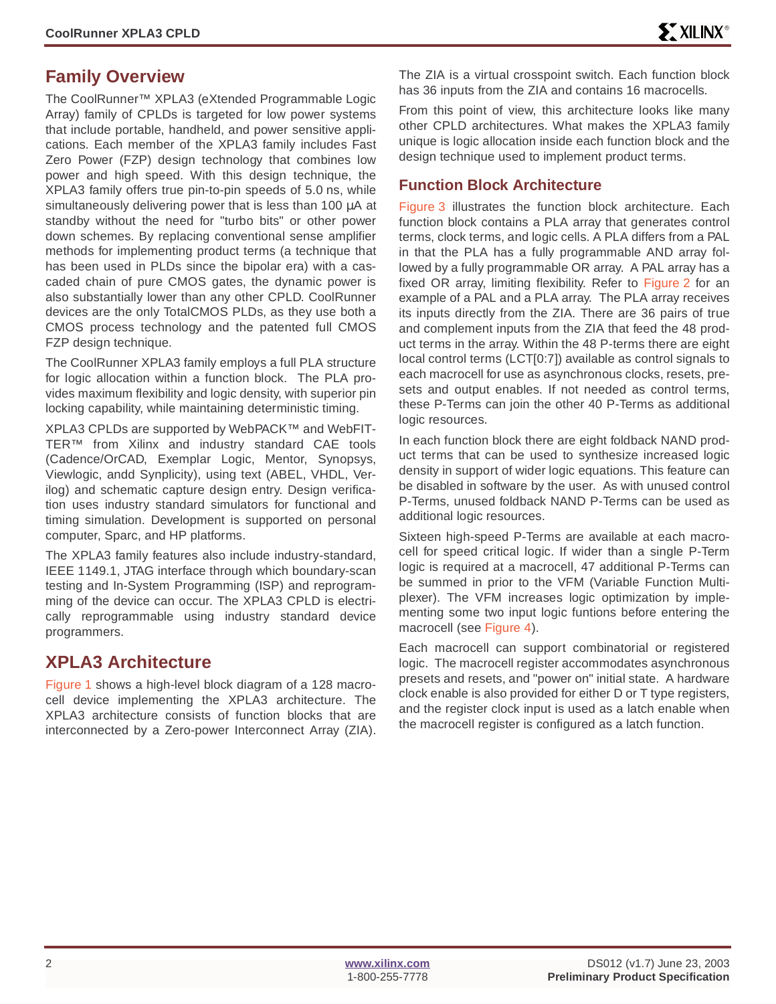## **Family Overview**

The CoolRunner™ XPLA3 (eXtended Programmable Logic Array) family of CPLDs is targeted for low power systems that include portable, handheld, and power sensitive applications. Each member of the XPLA3 family includes Fast Zero Power (FZP) design technology that combines low power and high speed. With this design technique, the XPLA3 family offers true pin-to-pin speeds of 5.0 ns, while simultaneously delivering power that is less than 100  $\mu$ A at standby without the need for "turbo bits" or other power down schemes. By replacing conventional sense amplifier methods for implementing product terms (a technique that has been used in PLDs since the bipolar era) with a cascaded chain of pure CMOS gates, the dynamic power is also substantially lower than any other CPLD. CoolRunner devices are the only TotalCMOS PLDs, as they use both a CMOS process technology and the patented full CMOS FZP design technique.

The CoolRunner XPLA3 family employs a full PLA structure for logic allocation within a function block. The PLA provides maximum flexibility and logic density, with superior pin locking capability, while maintaining deterministic timing.

XPLA3 CPLDs are supported by WebPACK™ and WebFIT-TER™ from Xilinx and industry standard CAE tools (Cadence/OrCAD, Exemplar Logic, Mentor, Synopsys, Viewlogic, andd Synplicity), using text (ABEL, VHDL, Verilog) and schematic capture design entry. Design verification uses industry standard simulators for functional and timing simulation. Development is supported on personal computer, Sparc, and HP platforms.

The XPLA3 family features also include industry-standard, IEEE 1149.1, JTAG interface through which boundary-scan testing and In-System Programming (ISP) and reprogramming of the device can occur. The XPLA3 CPLD is electrically reprogrammable using industry standard device programmers.

## **XPLA3 Architecture**

Figure 1 shows a high-level block diagram of a 128 macrocell device implementing the XPLA3 architecture. The XPLA3 architecture consists of function blocks that are interconnected by a Zero-power Interconnect Array (ZIA). The ZIA is a virtual crosspoint switch. Each function block has 36 inputs from the ZIA and contains 16 macrocells.

From this point of view, this architecture looks like many other CPLD architectures. What makes the XPLA3 family unique is logic allocation inside each function block and the design technique used to implement product terms.

## **Function Block Architecture**

[Figure 3](#page-3-0) illustrates the function block architecture. Each function block contains a PLA array that generates control terms, clock terms, and logic cells. A PLA differs from a PAL in that the PLA has a fully programmable AND array followed by a fully programmable OR array. A PAL array has a fixed OR array, limiting flexibility. Refer to [Figure 2](#page-2-0) for an example of a PAL and a PLA array. The PLA array receives its inputs directly from the ZIA. There are 36 pairs of true and complement inputs from the ZIA that feed the 48 product terms in the array. Within the 48 P-terms there are eight local control terms (LCT[0:7]) available as control signals to each macrocell for use as asynchronous clocks, resets, presets and output enables. If not needed as control terms, these P-Terms can join the other 40 P-Terms as additional logic resources.

In each function block there are eight foldback NAND product terms that can be used to synthesize increased logic density in support of wider logic equations. This feature can be disabled in software by the user. As with unused control P-Terms, unused foldback NAND P-Terms can be used as additional logic resources.

Sixteen high-speed P-Terms are available at each macrocell for speed critical logic. If wider than a single P-Term logic is required at a macrocell, 47 additional P-Terms can be summed in prior to the VFM (Variable Function Multiplexer). The VFM increases logic optimization by implementing some two input logic funtions before entering the macrocell (see [Figure 4\)](#page-3-1).

Each macrocell can support combinatorial or registered logic. The macrocell register accommodates asynchronous presets and resets, and "power on" initial state. A hardware clock enable is also provided for either D or T type registers, and the register clock input is used as a latch enable when the macrocell register is configured as a latch function.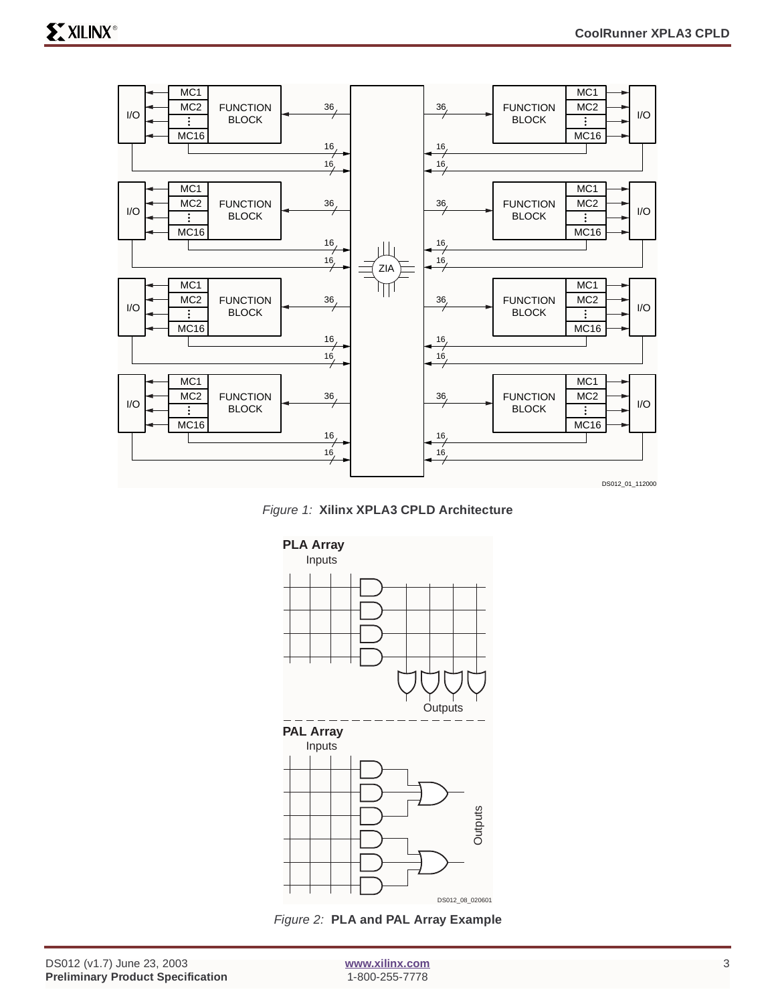





<span id="page-2-0"></span>Figure 2: **PLA and PAL Array Example**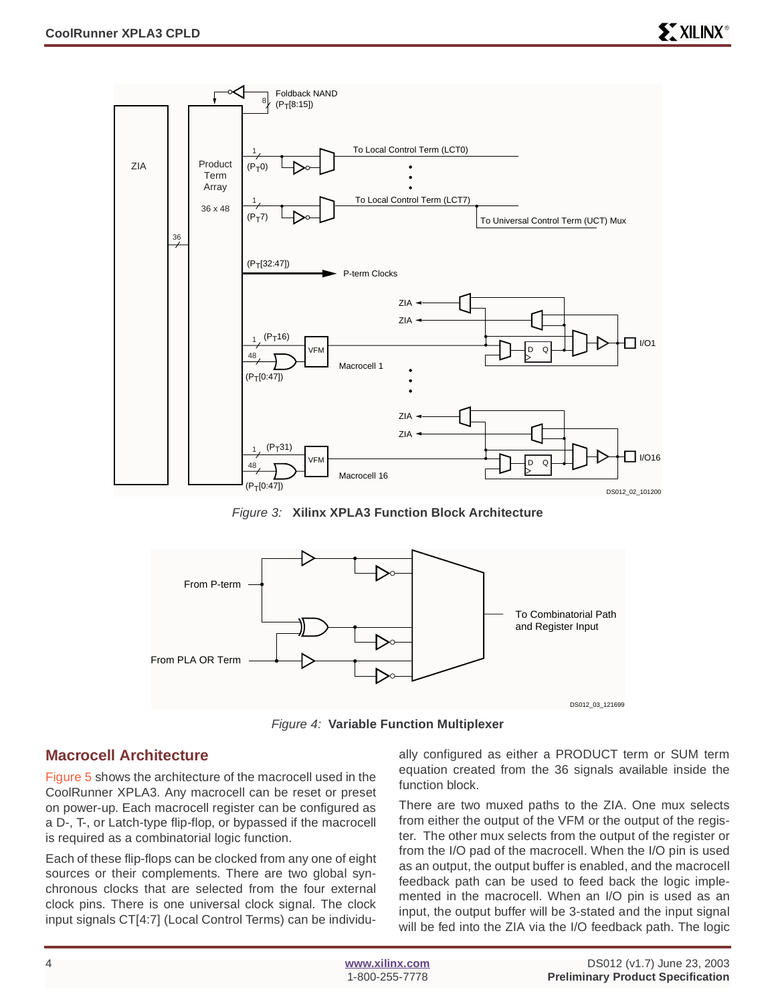

Figure 3: **Xilinx XPLA3 Function Block Architecture**

<span id="page-3-0"></span>

Figure 4: **Variable Function Multiplexer**

## <span id="page-3-1"></span>**Macrocell Architecture**

[Figure 5](#page-4-0) shows the architecture of the macrocell used in the CoolRunner XPLA3. Any macrocell can be reset or preset on power-up. Each macrocell register can be configured as a D-, T-, or Latch-type flip-flop, or bypassed if the macrocell is required as a combinatorial logic function.

Each of these flip-flops can be clocked from any one of eight sources or their complements. There are two global synchronous clocks that are selected from the four external clock pins. There is one universal clock signal. The clock input signals CT[4:7] (Local Control Terms) can be individually configured as either a PRODUCT term or SUM term equation created from the 36 signals available inside the function block.

There are two muxed paths to the ZIA. One mux selects from either the output of the VFM or the output of the register. The other mux selects from the output of the register or from the I/O pad of the macrocell. When the I/O pin is used as an output, the output buffer is enabled, and the macrocell feedback path can be used to feed back the logic implemented in the macrocell. When an I/O pin is used as an input, the output buffer will be 3-stated and the input signal will be fed into the ZIA via the I/O feedback path. The logic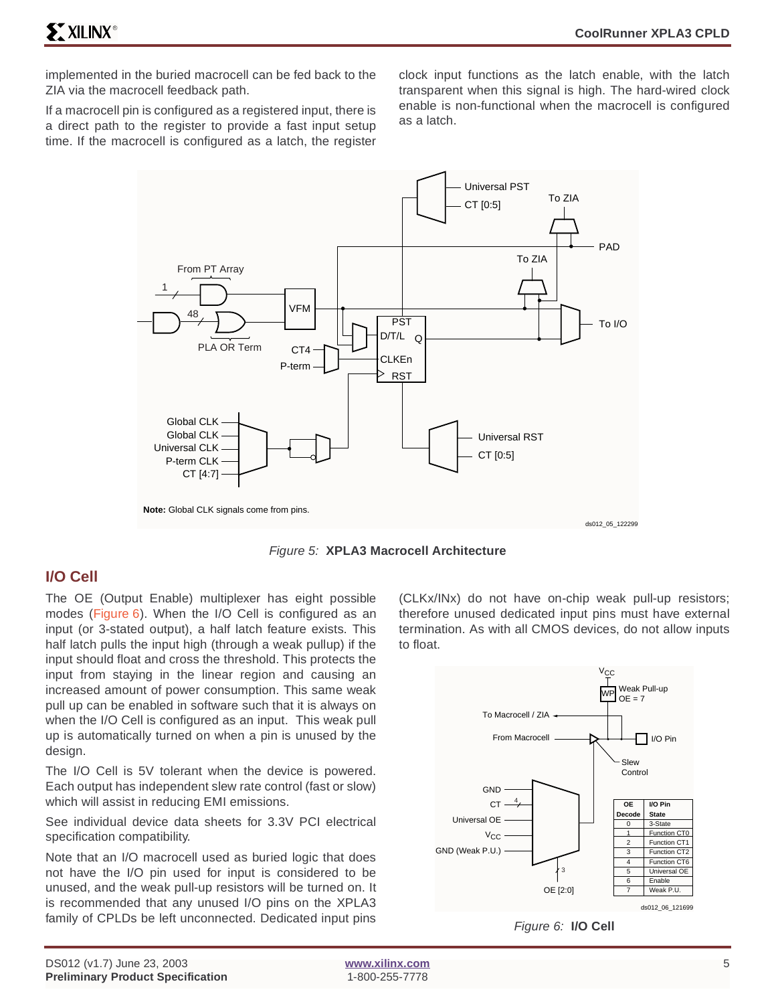implemented in the buried macrocell can be fed back to the ZIA via the macrocell feedback path.

If a macrocell pin is configured as a registered input, there is a direct path to the register to provide a fast input setup time. If the macrocell is configured as a latch, the register

clock input functions as the latch enable, with the latch transparent when this signal is high. The hard-wired clock enable is non-functional when the macrocell is configured as a latch.



Figure 5: **XPLA3 Macrocell Architecture**

## <span id="page-4-0"></span>**I/O Cell**

The OE (Output Enable) multiplexer has eight possible modes (Figure 6). When the I/O Cell is configured as an input (or 3-stated output), a half latch feature exists. This half latch pulls the input high (through a weak pullup) if the input should float and cross the threshold. This protects the input from staying in the linear region and causing an increased amount of power consumption. This same weak pull up can be enabled in software such that it is always on when the I/O Cell is configured as an input. This weak pull up is automatically turned on when a pin is unused by the design.

The I/O Cell is 5V tolerant when the device is powered. Each output has independent slew rate control (fast or slow) which will assist in reducing EMI emissions.

See individual device data sheets for 3.3V PCI electrical specification compatibility.

Note that an I/O macrocell used as buried logic that does not have the I/O pin used for input is considered to be unused, and the weak pull-up resistors will be turned on. It is recommended that any unused I/O pins on the XPLA3 family of CPLDs be left unconnected. Dedicated input pins (CLKx/INx) do not have on-chip weak pull-up resistors; therefore unused dedicated input pins must have external termination. As with all CMOS devices, do not allow inputs to float.



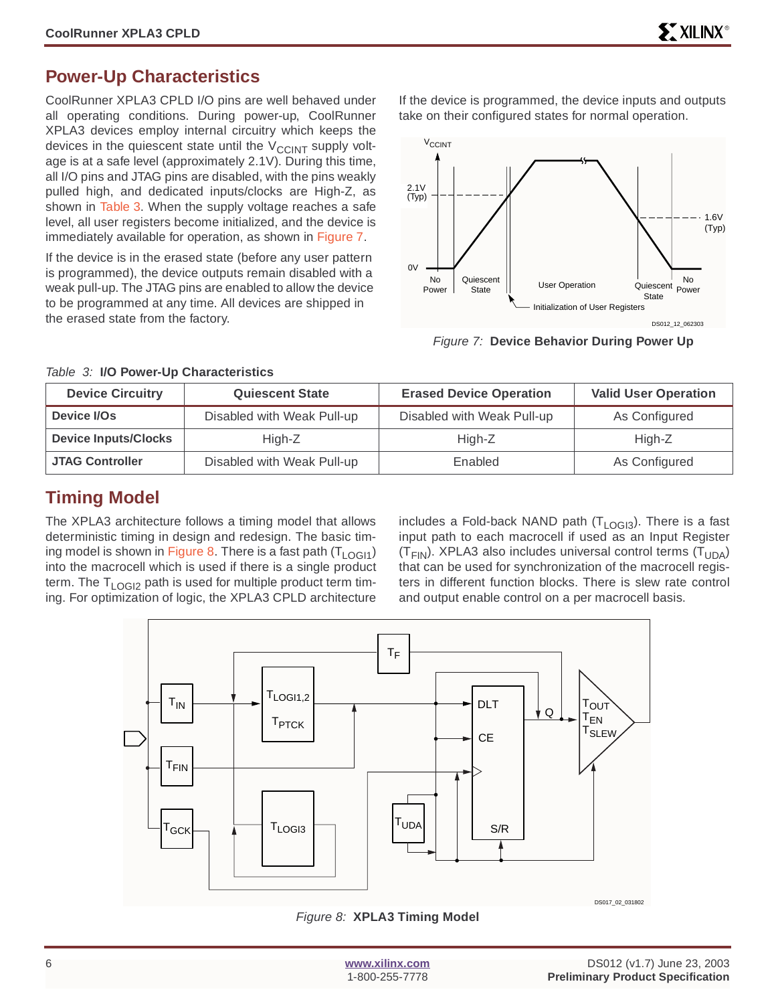## <span id="page-5-0"></span>**Power-Up Characteristics**

CoolRunner XPLA3 CPLD I/O pins are well behaved under all operating conditions. During power-up, CoolRunner XPLA3 devices employ internal circuitry which keeps the devices in the quiescent state until the  $V_{\text{CCINT}}$  supply voltage is at a safe level (approximately 2.1V). During this time, all I/O pins and JTAG pins are disabled, with the pins weakly pulled high, and dedicated inputs/clocks are High-Z, as shown in Table 3. When the supply voltage reaches a safe level, all user registers become initialized, and the device is immediately available for operation, as shown in Figure 7.

If the device is in the erased state (before any user pattern is programmed), the device outputs remain disabled with a weak pull-up. The JTAG pins are enabled to allow the device to be programmed at any time. All devices are shipped in the erased state from the factory.

If the device is programmed, the device inputs and outputs take on their configured states for normal operation.



Figure 7: **Device Behavior During Power Up**

| <b>Device Circuitry</b>     | <b>Quiescent State</b>     | <b>Erased Device Operation</b> | <b>Valid User Operation</b> |
|-----------------------------|----------------------------|--------------------------------|-----------------------------|
| Device I/Os                 | Disabled with Weak Pull-up | Disabled with Weak Pull-up     | As Configured               |
| <b>Device Inputs/Clocks</b> | High-Z                     | High-Z                         | High-Z                      |
| <b>JTAG Controller</b>      | Disabled with Weak Pull-up | Enabled                        | As Configured               |

#### Table 3: **I/O Power-Up Characteristics**

## **Timing Model**

The XPLA3 architecture follows a timing model that allows deterministic timing in design and redesign. The basic timing model is shown in Figure 8. There is a fast path  $(T_{LOGI1})$ into the macrocell which is used if there is a single product term. The  $T_{\text{LOGD}}$  path is used for multiple product term timing. For optimization of logic, the XPLA3 CPLD architecture

includes a Fold-back NAND path  $(T<sub>LOGI3</sub>)$ . There is a fast input path to each macrocell if used as an Input Register  $(T_{FIN})$ . XPLA3 also includes universal control terms  $(T_{UDA})$ that can be used for synchronization of the macrocell registers in different function blocks. There is slew rate control and output enable control on a per macrocell basis.



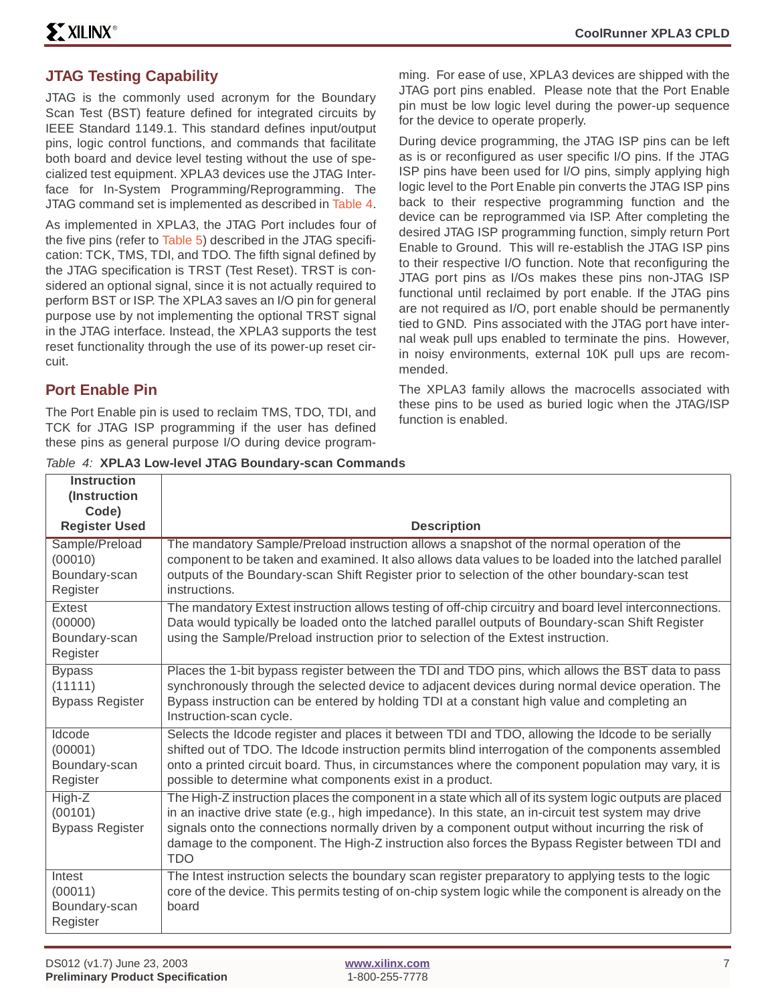## **JTAG Testing Capability**

JTAG is the commonly used acronym for the Boundary Scan Test (BST) feature defined for integrated circuits by IEEE Standard 1149.1. This standard defines input/output pins, logic control functions, and commands that facilitate both board and device level testing without the use of specialized test equipment. XPLA3 devices use the JTAG Interface for In-System Programming/Reprogramming. The JTAG command set is implemented as described in [Table 4](#page-6-0).

As implemented in XPLA3, the JTAG Port includes four of the five pins (refer to [Table 5](#page-7-0)) described in the JTAG specification: TCK, TMS, TDI, and TDO. The fifth signal defined by the JTAG specification is TRST (Test Reset). TRST is considered an optional signal, since it is not actually required to perform BST or ISP. The XPLA3 saves an I/O pin for general purpose use by not implementing the optional TRST signal in the JTAG interface. Instead, the XPLA3 supports the test reset functionality through the use of its power-up reset circuit.

## **Port Enable Pin**

The Port Enable pin is used to reclaim TMS, TDO, TDI, and TCK for JTAG ISP programming if the user has defined these pins as general purpose I/O during device program-

<span id="page-6-0"></span>

|  |  |  |  |  |  |  | Table 4: XPLA3 Low-level JTAG Boundary-scan Commands |
|--|--|--|--|--|--|--|------------------------------------------------------|
|--|--|--|--|--|--|--|------------------------------------------------------|

ming. For ease of use, XPLA3 devices are shipped with the JTAG port pins enabled. Please note that the Port Enable pin must be low logic level during the power-up sequence for the device to operate properly.

During device programming, the JTAG ISP pins can be left as is or reconfigured as user specific I/O pins. If the JTAG ISP pins have been used for I/O pins, simply applying high logic level to the Port Enable pin converts the JTAG ISP pins back to their respective programming function and the device can be reprogrammed via ISP. After completing the desired JTAG ISP programming function, simply return Port Enable to Ground. This will re-establish the JTAG ISP pins to their respective I/O function. Note that reconfiguring the JTAG port pins as I/Os makes these pins non-JTAG ISP functional until reclaimed by port enable. If the JTAG pins are not required as I/O, port enable should be permanently tied to GND. Pins associated with the JTAG port have internal weak pull ups enabled to terminate the pins. However, in noisy environments, external 10K pull ups are recommended.

The XPLA3 family allows the macrocells associated with these pins to be used as buried logic when the JTAG/ISP function is enabled.

| <b>Instruction</b>     |                                                                                                                        |
|------------------------|------------------------------------------------------------------------------------------------------------------------|
| (Instruction           |                                                                                                                        |
| Code)                  |                                                                                                                        |
| <b>Register Used</b>   | <b>Description</b>                                                                                                     |
| Sample/Preload         | The mandatory Sample/Preload instruction allows a snapshot of the normal operation of the                              |
| (00010)                | component to be taken and examined. It also allows data values to be loaded into the latched parallel                  |
| Boundary-scan          | outputs of the Boundary-scan Shift Register prior to selection of the other boundary-scan test                         |
| Register               | instructions.                                                                                                          |
| Extest                 | The mandatory Extest instruction allows testing of off-chip circuitry and board level interconnections.                |
| (00000)                | Data would typically be loaded onto the latched parallel outputs of Boundary-scan Shift Register                       |
| Boundary-scan          | using the Sample/Preload instruction prior to selection of the Extest instruction.                                     |
| Register               |                                                                                                                        |
| <b>Bypass</b>          | Places the 1-bit bypass register between the TDI and TDO pins, which allows the BST data to pass                       |
| (11111)                | synchronously through the selected device to adjacent devices during normal device operation. The                      |
| <b>Bypass Register</b> | Bypass instruction can be entered by holding TDI at a constant high value and completing an<br>Instruction-scan cycle. |
|                        |                                                                                                                        |
| Idcode                 | Selects the Idcode register and places it between TDI and TDO, allowing the Idcode to be serially                      |
| (00001)                | shifted out of TDO. The Idcode instruction permits blind interrogation of the components assembled                     |
| Boundary-scan          | onto a printed circuit board. Thus, in circumstances where the component population may vary, it is                    |
| Register               | possible to determine what components exist in a product.                                                              |
| High-Z                 | The High-Z instruction places the component in a state which all of its system logic outputs are placed                |
| (00101)                | in an inactive drive state (e.g., high impedance). In this state, an in-circuit test system may drive                  |
| <b>Bypass Register</b> | signals onto the connections normally driven by a component output without incurring the risk of                       |
|                        | damage to the component. The High-Z instruction also forces the Bypass Register between TDI and                        |
|                        | <b>TDO</b>                                                                                                             |
| Intest                 | The Intest instruction selects the boundary scan register preparatory to applying tests to the logic                   |
| (00011)                | core of the device. This permits testing of on-chip system logic while the component is already on the                 |
| Boundary-scan          | board                                                                                                                  |
| Register               |                                                                                                                        |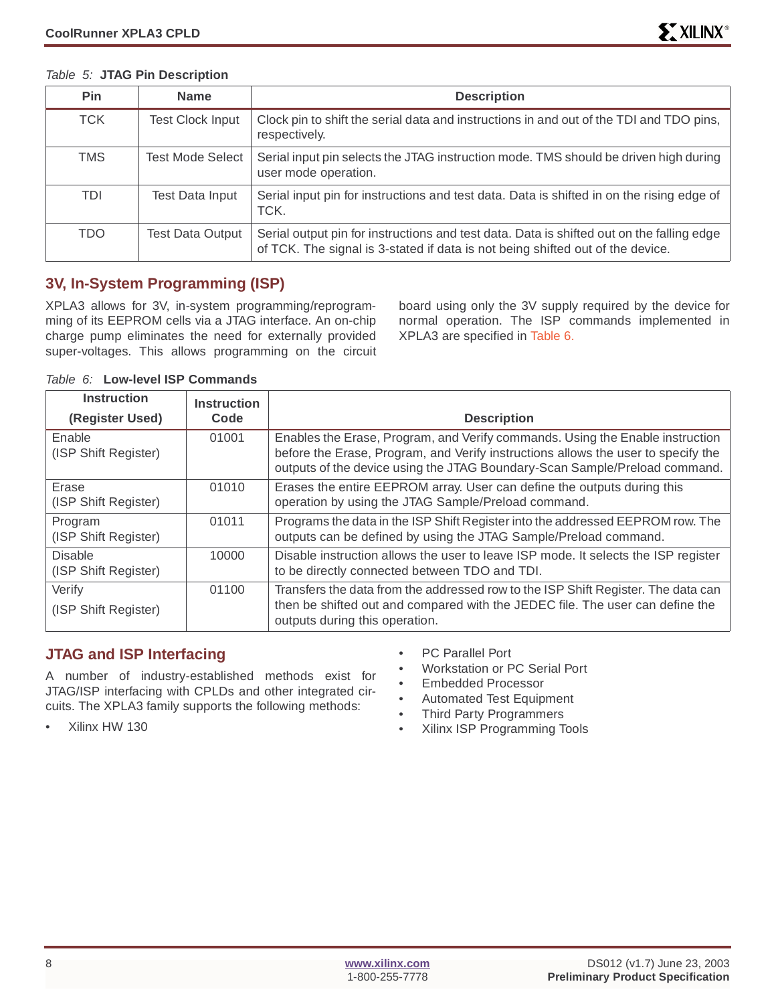| Pin        | <b>Name</b>             | <b>Description</b>                                                                                                                                                          |
|------------|-------------------------|-----------------------------------------------------------------------------------------------------------------------------------------------------------------------------|
| <b>TCK</b> | <b>Test Clock Input</b> | Clock pin to shift the serial data and instructions in and out of the TDI and TDO pins,<br>respectively.                                                                    |
| <b>TMS</b> | <b>Test Mode Select</b> | Serial input pin selects the JTAG instruction mode. TMS should be driven high during<br>user mode operation.                                                                |
| <b>TDI</b> | Test Data Input         | Serial input pin for instructions and test data. Data is shifted in on the rising edge of<br>TCK.                                                                           |
| TDO.       | Test Data Output        | Serial output pin for instructions and test data. Data is shifted out on the falling edge<br>of TCK. The signal is 3-stated if data is not being shifted out of the device. |

#### <span id="page-7-0"></span>Table 5: **JTAG Pin Description**

## **3V, In-System Programming (ISP)**

XPLA3 allows for 3V, in-system programming/reprogramming of its EEPROM cells via a JTAG interface. An on-chip charge pump eliminates the need for externally provided super-voltages. This allows programming on the circuit board using only the 3V supply required by the device for normal operation. The ISP commands implemented in XPLA3 are specified in [Table 6.](#page-7-1)

| <b>Instruction</b>                     | <b>Instruction</b> |                                                                                                                                                                                                                                                  |
|----------------------------------------|--------------------|--------------------------------------------------------------------------------------------------------------------------------------------------------------------------------------------------------------------------------------------------|
| (Register Used)                        | Code               | <b>Description</b>                                                                                                                                                                                                                               |
| Enable<br>(ISP Shift Register)         | 01001              | Enables the Erase, Program, and Verify commands. Using the Enable instruction<br>before the Erase, Program, and Verify instructions allows the user to specify the<br>outputs of the device using the JTAG Boundary-Scan Sample/Preload command. |
| Erase<br>(ISP Shift Register)          | 01010              | Erases the entire EEPROM array. User can define the outputs during this<br>operation by using the JTAG Sample/Preload command.                                                                                                                   |
| Program<br>(ISP Shift Register)        | 01011              | Programs the data in the ISP Shift Register into the addressed EEPROM row. The<br>outputs can be defined by using the JTAG Sample/Preload command.                                                                                               |
| <b>Disable</b><br>(ISP Shift Register) | 10000              | Disable instruction allows the user to leave ISP mode. It selects the ISP register<br>to be directly connected between TDO and TDI.                                                                                                              |
| Verify<br>(ISP Shift Register)         | 01100              | Transfers the data from the addressed row to the ISP Shift Register. The data can<br>then be shifted out and compared with the JEDEC file. The user can define the<br>outputs during this operation.                                             |

#### <span id="page-7-1"></span>Table 6: **Low-level ISP Commands**

## **JTAG and ISP Interfacing**

A number of industry-established methods exist for JTAG/ISP interfacing with CPLDs and other integrated circuits. The XPLA3 family supports the following methods:

- PC Parallel Port
- Workstation or PC Serial Port
- Embedded Processor
- Automated Test Equipment
- Third Party Programmers
- Xilinx ISP Programming Tools

• Xilinx HW 130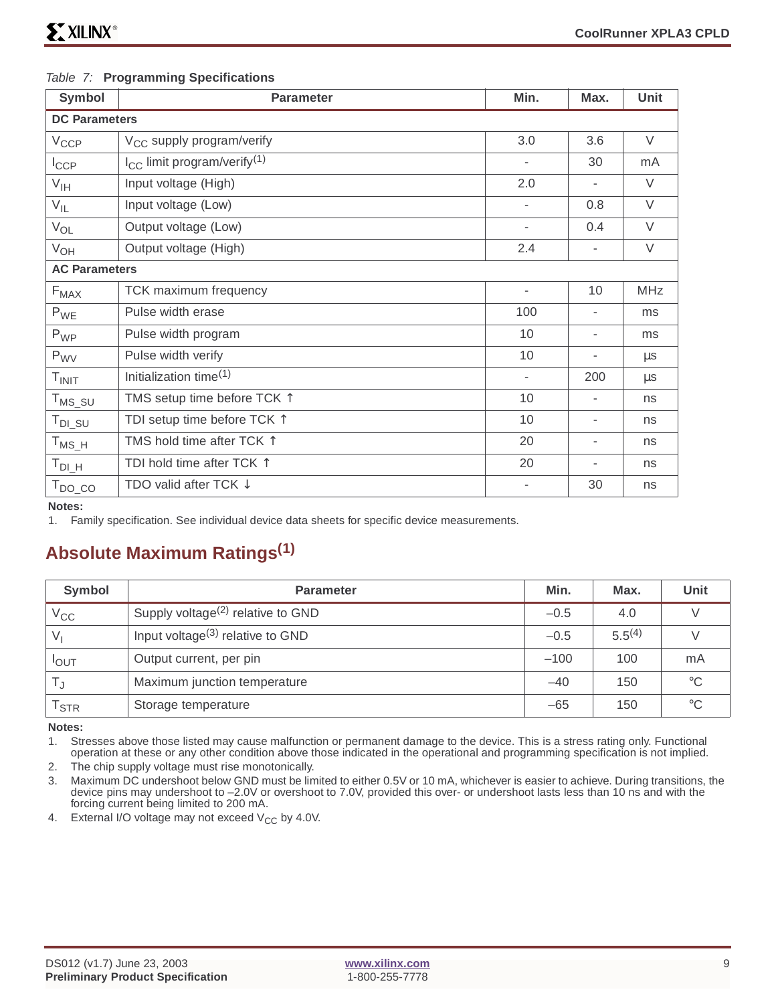| Symbol               | <b>Parameter</b>                             | Min.                     | Max.                     | Unit       |  |  |  |
|----------------------|----------------------------------------------|--------------------------|--------------------------|------------|--|--|--|
|                      | <b>DC Parameters</b>                         |                          |                          |            |  |  |  |
| $V_{CCP}$            | V <sub>CC</sub> supply program/verify        | 3.0                      | 3.6                      | $\vee$     |  |  |  |
| $I_{\text{CCP}}$     | $I_{CC}$ limit program/verify <sup>(1)</sup> | ٠                        | 30                       | mA         |  |  |  |
| $V_{\text{IH}}$      | Input voltage (High)                         | 2.0                      | $\overline{\phantom{a}}$ | $\vee$     |  |  |  |
| $V_{IL}$             | Input voltage (Low)                          | ٠                        | 0.8                      | $\vee$     |  |  |  |
| $V_{OL}$             | Output voltage (Low)                         | ٠                        | 0.4                      | $\vee$     |  |  |  |
| $V_{OH}$             | Output voltage (High)                        | 2.4                      | $\overline{\phantom{a}}$ | $\vee$     |  |  |  |
| <b>AC Parameters</b> |                                              |                          |                          |            |  |  |  |
| $F_{MAX}$            | TCK maximum frequency                        | $\overline{\phantom{a}}$ | 10                       | <b>MHz</b> |  |  |  |
| $P_{WE}$             | Pulse width erase                            | 100                      | Ξ.                       | ms         |  |  |  |
| $P_{WP}$             | Pulse width program                          | 10                       | ٠                        | ms         |  |  |  |
| $P_{\rm WV}$         | Pulse width verify                           | 10                       | $\overline{\phantom{0}}$ | $\mu$ s    |  |  |  |
| T <sub>INIT</sub>    | Initialization time <sup>(1)</sup>           | $\overline{\phantom{0}}$ | 200                      | $\mu s$    |  |  |  |
| $T_{MS\_SU}$         | TMS setup time before TCK $\uparrow$         | 10                       | -                        | ns         |  |  |  |
| $T_{DI\_SU}$         | TDI setup time before TCK $\uparrow$         | 10                       | $\overline{\phantom{0}}$ | ns         |  |  |  |
| $T_{MS_H}$           | TMS hold time after TCK 1                    | 20                       | ٠                        | ns         |  |  |  |
| $T_{DI\_H}$          | TDI hold time after TCK $\uparrow$           | 20                       | ۰                        | ns         |  |  |  |
| $T_{DO\_CO}$         | TDO valid after TCK $\downarrow$             |                          | 30                       | ns         |  |  |  |

#### <span id="page-8-0"></span>Table 7: **Programming Specifications**

**Notes:** 

1. Family specification. See individual device data sheets for specific device measurements.

## **Absolute Maximum Ratings(1)**

| Symbol           | <b>Parameter</b>                                           | Min.  | Max.        | Unit            |
|------------------|------------------------------------------------------------|-------|-------------|-----------------|
| $V_{CC}$         | Supply voltage <sup><math>(2)</math></sup> relative to GND |       | 4.0         |                 |
| $V_{1}$          | Input voltage $(3)$ relative to GND                        |       | $5.5^{(4)}$ |                 |
| <b>I</b> OUT     | Output current, per pin                                    |       | 100         | mA              |
|                  | Maximum junction temperature                               |       | 150         | $^{\circ}C$     |
| l <sub>STR</sub> | Storage temperature                                        | $-65$ | 150         | $\rm ^{\circ}C$ |

**Notes:** 

1. Stresses above those listed may cause malfunction or permanent damage to the device. This is a stress rating only. Functional operation at these or any other condition above those indicated in the operational and programming specification is not implied.

2. The chip supply voltage must rise monotonically.

3. Maximum DC undershoot below GND must be limited to either 0.5V or 10 mA, whichever is easier to achieve. During transitions, the device pins may undershoot to –2.0V or overshoot to 7.0V, provided this over- or undershoot lasts less than 10 ns and with the forcing current being limited to 200 mA.

4. External I/O voltage may not exceed  $V_{CC}$  by 4.0V.